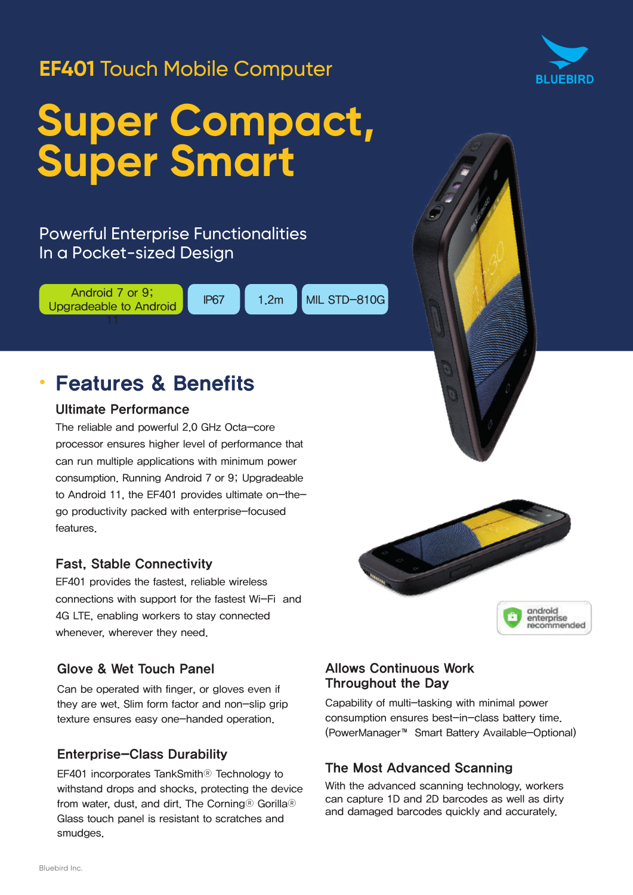# **EF401** Touch Mobile Computer



# Powerful Enterprise Functionalities In a Pocket-sized Design

Android 7 or 9; Upgradeable to Android

IP67 1.2m MIL STD-810G

# • Features & Benefits

#### Ultimate Performance

The reliable and powerful 2.0 GHz Octa-core processor ensures higher level of performance that can run multiple applications with minimum power consumption. Running Android 7 or 9; Upgradeable to Android 11, the EF401 provides ultimate on-thego productivity packed with enterprise-focused features.

### Fast, Stable Connectivity

EF401 provides the fastest, reliable wireless connections with support for the fastest Wi-Fi and 4G LTE, enabling workers to stay connected whenever, wherever they need.

#### Glove & Wet Touch Panel

Can be operated with finger, or gloves even if they are wet. Slim form factor and non-slip grip texture ensures easy one-handed operation.

### Enterprise-Class Durability

EF401 incorporates TankSmith® Technology to withstand drops and shocks, protecting the device from water, dust, and dirt. The Corning® Gorilla® Glass touch panel is resistant to scratches and smudges.



### Allows Continuous Work Throughout the Day

Capability of multi-tasking with minimal power consumption ensures best-in-class battery time. (PowerManager™ Smart Battery Available-Optional)

### The Most Advanced Scanning

With the advanced scanning technology, workers can capture 1D and 2D barcodes as well as dirty and damaged barcodes quickly and accurately.

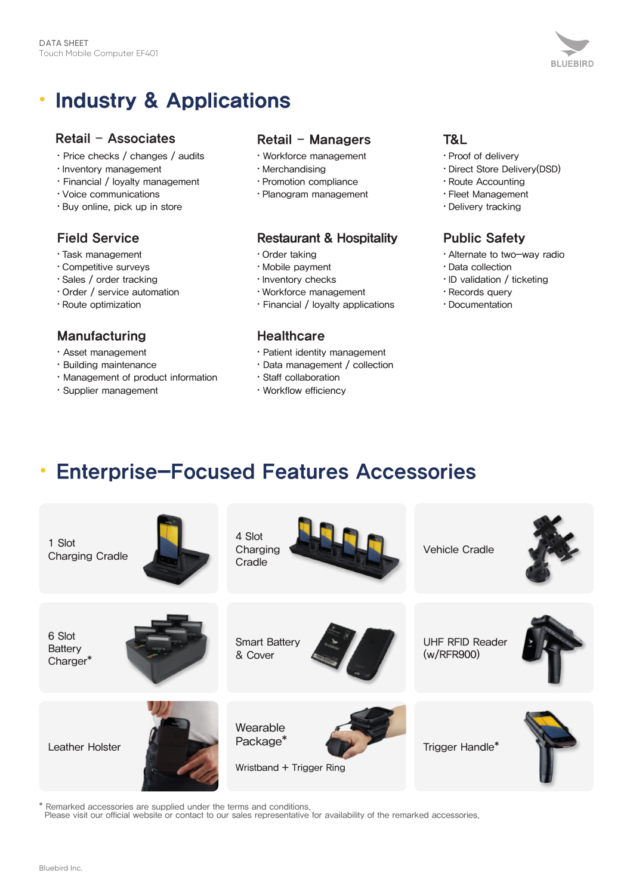

# • Industry & Applications

#### Retail – Associates

- Price checks / changes / audits
- Inventory management
- Financial / loyalty management
- Voice communications
- Buy online, pick up in store

# Field Service

- Task management
- Competitive surveys
- Sales / order tracking
- Order / service automation
- Route optimization

#### Manufacturing

- Asset management
- Building maintenance
- Management of product information
- Supplier management

### Retail – Managers

- Workforce management
- Merchandising
- Promotion compliance
- Planogram management

#### Restaurant & Hospitality

- Order taking
- Mobile payment
- Inventory checks
- Workforce management
- Financial / loyalty applications

#### **Healthcare**

- Patient identity management
- Data management / collection
- Staff collaboration
- Workflow efficiency

## T&L

- Proof of delivery
- Direct Store Delivery(DSD)
- Route Accounting
- Fleet Management
- Delivery tracking

# Public Safety

- Alternate to two-way radio
- Data collection
- ID validation / ticketing
- Records query
- Documentation

# • Enterprise-Focused Features Accessories



\* Remarked accessories are supplied under the terms and conditions.

Please visit our official website or contact to our sales representative for availability of the remarked accessories.